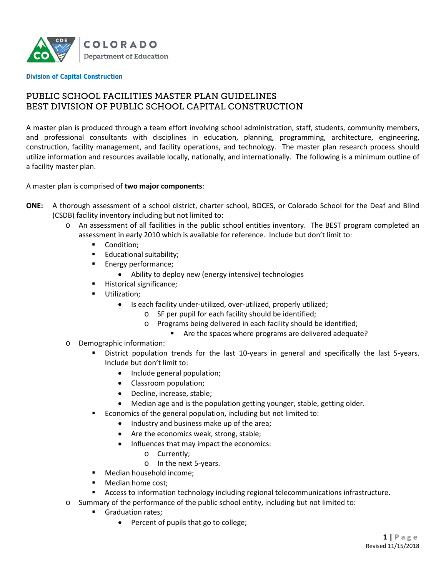

**Division of Capital Construction**

# PUBLIC SCHOOL FACILITIES MASTER PLAN GUIDELINES BEST DIVISION OF PUBLIC SCHOOL CAPITAL CONSTRUCTION

A master plan is produced through a team effort involving school administration, staff, students, community members, and professional consultants with disciplines in education, planning, programming, architecture, engineering, construction, facility management, and facility operations, and technology. The master plan research process should utilize information and resources available locally, nationally, and internationally. The following is a minimum outline of a facility master plan.

A master plan is comprised of **two major components**:

- **ONE:** A thorough assessment of a school district, charter school, BOCES, or Colorado School for the Deaf and Blind (CSDB) facility inventory including but not limited to:
	- o An assessment of all facilities in the public school entities inventory. The BEST program completed an assessment in early 2010 which is available for reference. Include but don't limit to:
		- Condition;
		- **Educational suitability;**
		- **Energy performance;** 
			- Ability to deploy new (energy intensive) technologies
		- **Historical significance;**
		- **Utilization:** 
			- Is each facility under-utilized, over-utilized, properly utilized;
				- o SF per pupil for each facility should be identified;
				- o Programs being delivered in each facility should be identified;
					- Are the spaces where programs are delivered adequate?
	- o Demographic information:
		- District population trends for the last 10-years in general and specifically the last 5-years. Include but don't limit to:
			- Include general population;
			- Classroom population;
			- Decline, increase, stable;
			- Median age and is the population getting younger, stable, getting older.
		- Economics of the general population, including but not limited to:
			- Industry and business make up of the area;
			- Are the economics weak, strong, stable;
			- Influences that may impact the economics:
				- o Currently;
				- o In the next 5-years.
		- Median household income:
		- **Median home cost;**
		- Access to information technology including regional telecommunications infrastructure.
	- o Summary of the performance of the public school entity, including but not limited to:
		- Graduation rates;
			- Percent of pupils that go to college;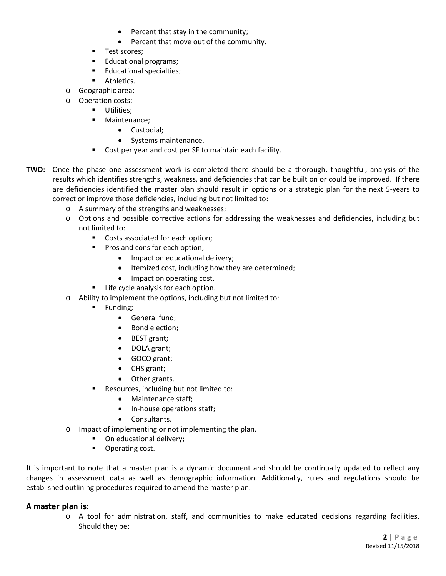- Percent that stay in the community;
- Percent that move out of the community.
- **Test scores;**
- **Educational programs;**
- **Educational specialties;**
- **Athletics.**
- o Geographic area;
- o Operation costs:
	- **Utilities**;
	- **Maintenance;** 
		- Custodial;
		- Systems maintenance.
	- **Cost per year and cost per SF to maintain each facility.**
- **TWO:** Once the phase one assessment work is completed there should be a thorough, thoughtful, analysis of the results which identifies strengths, weakness, and deficiencies that can be built on or could be improved. If there are deficiencies identified the master plan should result in options or a strategic plan for the next 5-years to correct or improve those deficiencies, including but not limited to:
	- o A summary of the strengths and weaknesses;
	- o Options and possible corrective actions for addressing the weaknesses and deficiencies, including but not limited to:
		- **Costs associated for each option;**
		- **Pros and cons for each option;** 
			- Impact on educational delivery;
			- Itemized cost, including how they are determined;
			- Impact on operating cost.
		- **EXECUTE:** Life cycle analysis for each option.
	- o Ability to implement the options, including but not limited to:
		- **Funding**;
			- General fund;
			- Bond election;
			- BEST grant;
			- DOLA grant;
			- GOCO grant;
			- CHS grant;
			- Other grants.
		- **Resources, including but not limited to:** 
			- Maintenance staff;
			- In-house operations staff;
			- Consultants.
	- o Impact of implementing or not implementing the plan.
		- On educational delivery;
		- **•** Operating cost.

It is important to note that a master plan is a dynamic document and should be continually updated to reflect any changes in assessment data as well as demographic information. Additionally, rules and regulations should be established outlining procedures required to amend the master plan.

# **A master plan is:**

o A tool for administration, staff, and communities to make educated decisions regarding facilities. Should they be: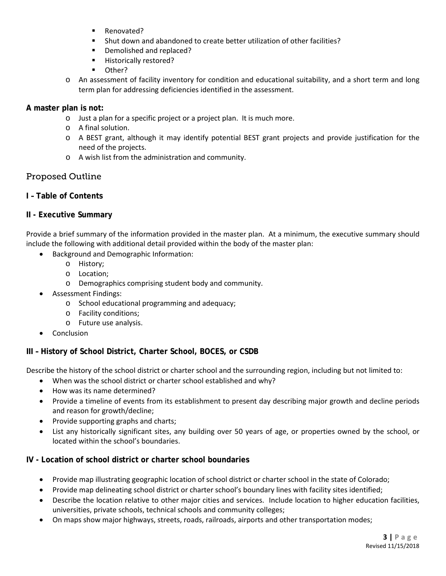- Renovated?
- Shut down and abandoned to create better utilization of other facilities?
- Demolished and replaced?
- **Historically restored?**
- **D** Other?
- o An assessment of facility inventory for condition and educational suitability, and a short term and long term plan for addressing deficiencies identified in the assessment.

### **A master plan is not:**

- o Just a plan for a specific project or a project plan. It is much more.
- o A final solution.
- o A BEST grant, although it may identify potential BEST grant projects and provide justification for the need of the projects.
- o A wish list from the administration and community.

# Proposed Outline

**I – Table of Contents**

# **II - Executive Summary**

Provide a brief summary of the information provided in the master plan. At a minimum, the executive summary should include the following with additional detail provided within the body of the master plan:

- Background and Demographic Information:
	- o History;
	- o Location;
	- o Demographics comprising student body and community.
- Assessment Findings:
	- o School educational programming and adequacy;
	- o Facility conditions;
	- o Future use analysis.
- **Conclusion**

# **III – History of School District, Charter School, BOCES, or CSDB**

Describe the history of the school district or charter school and the surrounding region, including but not limited to:

- When was the school district or charter school established and why?
- How was its name determined?
- Provide a timeline of events from its establishment to present day describing major growth and decline periods and reason for growth/decline;
- Provide supporting graphs and charts;
- List any historically significant sites, any building over 50 years of age, or properties owned by the school, or located within the school's boundaries.

# **IV - Location of school district or charter school boundaries**

- Provide map illustrating geographic location of school district or charter school in the state of Colorado;
- Provide map delineating school district or charter school's boundary lines with facility sites identified;
- Describe the location relative to other major cities and services. Include location to higher education facilities, universities, private schools, technical schools and community colleges;
- On maps show major highways, streets, roads, railroads, airports and other transportation modes;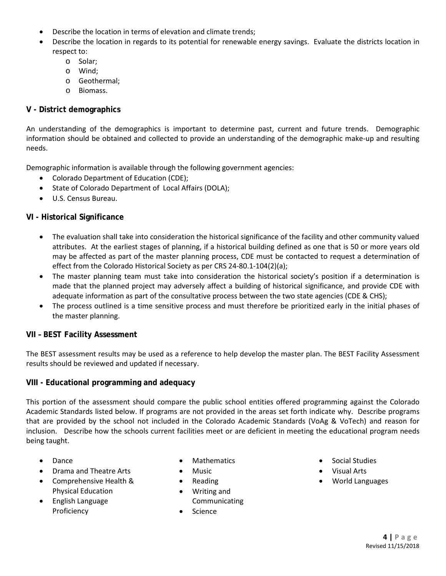- Describe the location in terms of elevation and climate trends;
- Describe the location in regards to its potential for renewable energy savings. Evaluate the districts location in respect to:
	- o Solar;
	- o Wind;
	- o Geothermal;
	- o Biomass.

# **V - District demographics**

An understanding of the demographics is important to determine past, current and future trends. Demographic information should be obtained and collected to provide an understanding of the demographic make-up and resulting needs.

Demographic information is available through the following government agencies:

- Colorado Department of Education (CDE);
- State of Colorado Department of Local Affairs (DOLA);
- U.S. Census Bureau.

# **VI - Historical Significance**

- The evaluation shall take into consideration the historical significance of the facility and other community valued attributes. At the earliest stages of planning, if a historical building defined as one that is 50 or more years old may be affected as part of the master planning process, CDE must be contacted to request a determination of effect from the Colorado Historical Society as per CRS 24-80.1-104(2)(a);
- The master planning team must take into consideration the historical society's position if a determination is made that the planned project may adversely affect a building of historical significance, and provide CDE with adequate information as part of the consultative process between the two state agencies (CDE & CHS);
- The process outlined is a time sensitive process and must therefore be prioritized early in the initial phases of the master planning.

#### **VII – BEST Facility Assessment**

The BEST assessment results may be used as a reference to help develop the master plan. The BEST Facility Assessment results should be reviewed and updated if necessary.

#### **VIII - Educational programming and adequacy**

This portion of the assessment should compare the public school entities offered programming against the Colorado Academic Standards listed below. If programs are not provided in the areas set forth indicate why. Describe programs that are provided by the school not included in the Colorado Academic Standards (VoAg & VoTech) and reason for inclusion. Describe how the schools current facilities meet or are deficient in meeting the educational program needs being taught.

- Dance
- Drama and Theatre Arts
- Comprehensive Health & Physical Education
- English Language Proficiency
- **Mathematics**
- Music
- Reading
- Writing and Communicating
- Science
- Social Studies
- Visual Arts
- World Languages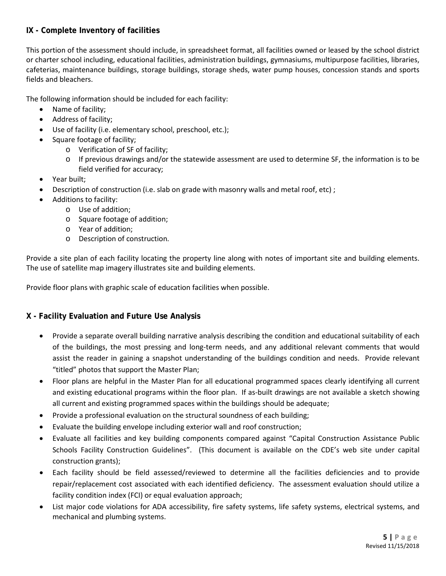# **IX - Complete Inventory of facilities**

This portion of the assessment should include, in spreadsheet format, all facilities owned or leased by the school district or charter school including, educational facilities, administration buildings, gymnasiums, multipurpose facilities, libraries, cafeterias, maintenance buildings, storage buildings, storage sheds, water pump houses, concession stands and sports fields and bleachers.

The following information should be included for each facility:

- Name of facility;
- Address of facility;
- Use of facility (i.e. elementary school, preschool, etc.);
- Square footage of facility;
	- o Verification of SF of facility;
	- o If previous drawings and/or the statewide assessment are used to determine SF, the information is to be field verified for accuracy;
- Year built;
- Description of construction (i.e. slab on grade with masonry walls and metal roof, etc) ;
- Additions to facility:
	- o Use of addition;
	- o Square footage of addition;
	- o Year of addition;
	- o Description of construction.

Provide a site plan of each facility locating the property line along with notes of important site and building elements. The use of satellite map imagery illustrates site and building elements.

Provide floor plans with graphic scale of education facilities when possible.

# **X - Facility Evaluation and Future Use Analysis**

- Provide a separate overall building narrative analysis describing the condition and educational suitability of each of the buildings, the most pressing and long-term needs, and any additional relevant comments that would assist the reader in gaining a snapshot understanding of the buildings condition and needs. Provide relevant "titled" photos that support the Master Plan;
- Floor plans are helpful in the Master Plan for all educational programmed spaces clearly identifying all current and existing educational programs within the floor plan. If as-built drawings are not available a sketch showing all current and existing programmed spaces within the buildings should be adequate;
- Provide a professional evaluation on the structural soundness of each building;
- Evaluate the building envelope including exterior wall and roof construction;
- Evaluate all facilities and key building components compared against "Capital Construction Assistance Public Schools Facility Construction Guidelines". (This document is available on the CDE's web site under capital construction grants);
- Each facility should be field assessed/reviewed to determine all the facilities deficiencies and to provide repair/replacement cost associated with each identified deficiency. The assessment evaluation should utilize a facility condition index (FCI) or equal evaluation approach;
- List major code violations for ADA accessibility, fire safety systems, life safety systems, electrical systems, and mechanical and plumbing systems.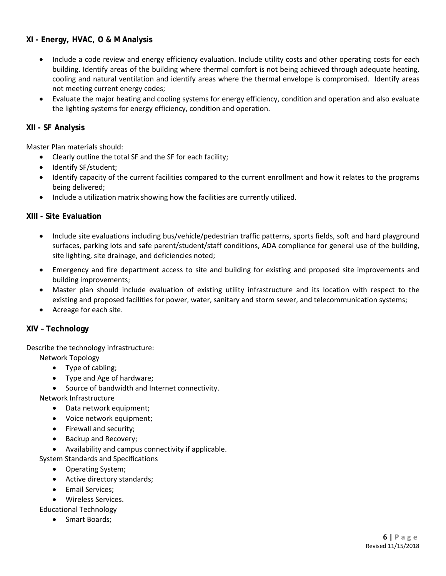# **XI - Energy, HVAC, O & M Analysis**

- Include a code review and energy efficiency evaluation. Include utility costs and other operating costs for each building. Identify areas of the building where thermal comfort is not being achieved through adequate heating, cooling and natural ventilation and identify areas where the thermal envelope is compromised. Identify areas not meeting current energy codes;
- Evaluate the major heating and cooling systems for energy efficiency, condition and operation and also evaluate the lighting systems for energy efficiency, condition and operation.

# **XII - SF Analysis**

Master Plan materials should:

- Clearly outline the total SF and the SF for each facility;
- Identify SF/student;
- Identify capacity of the current facilities compared to the current enrollment and how it relates to the programs being delivered;
- Include a utilization matrix showing how the facilities are currently utilized.

#### **XIII - Site Evaluation**

- Include site evaluations including bus/vehicle/pedestrian traffic patterns, sports fields, soft and hard playground surfaces, parking lots and safe parent/student/staff conditions, ADA compliance for general use of the building, site lighting, site drainage, and deficiencies noted;
- Emergency and fire department access to site and building for existing and proposed site improvements and building improvements;
- Master plan should include evaluation of existing utility infrastructure and its location with respect to the existing and proposed facilities for power, water, sanitary and storm sewer, and telecommunication systems;
- Acreage for each site.

# **XIV – Technology**

Describe the technology infrastructure:

Network Topology

- Type of cabling;
- Type and Age of hardware;
- Source of bandwidth and Internet connectivity.

Network Infrastructure

- Data network equipment;
- Voice network equipment;
- Firewall and security;
- Backup and Recovery;
- Availability and campus connectivity if applicable.

System Standards and Specifications

- Operating System;
- Active directory standards;
- Email Services;
- Wireless Services.

Educational Technology

• Smart Boards;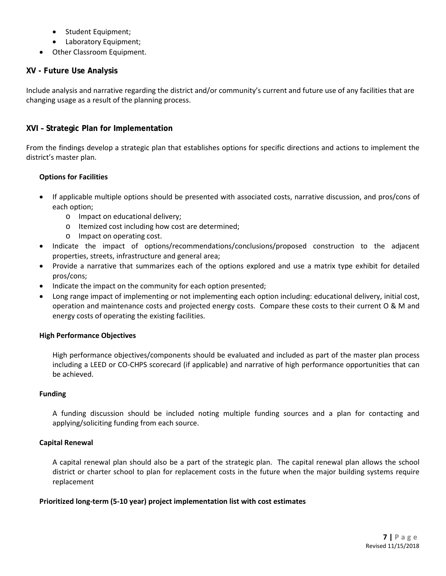- Student Equipment;
- Laboratory Equipment;
- Other Classroom Equipment.

# **XV - Future Use Analysis**

Include analysis and narrative regarding the district and/or community's current and future use of any facilities that are changing usage as a result of the planning process.

# **XVI – Strategic Plan for Implementation**

From the findings develop a strategic plan that establishes options for specific directions and actions to implement the district's master plan.

#### **Options for Facilities**

- If applicable multiple options should be presented with associated costs, narrative discussion, and pros/cons of each option;
	- o Impact on educational delivery;
	- o Itemized cost including how cost are determined;
	- o Impact on operating cost.
- Indicate the impact of options/recommendations/conclusions/proposed construction to the adjacent properties, streets, infrastructure and general area;
- Provide a narrative that summarizes each of the options explored and use a matrix type exhibit for detailed pros/cons;
- Indicate the impact on the community for each option presented;
- Long range impact of implementing or not implementing each option including: educational delivery, initial cost, operation and maintenance costs and projected energy costs. Compare these costs to their current O & M and energy costs of operating the existing facilities.

# **High Performance Objectives**

High performance objectives/components should be evaluated and included as part of the master plan process including a LEED or CO-CHPS scorecard (if applicable) and narrative of high performance opportunities that can be achieved.

#### **Funding**

A funding discussion should be included noting multiple funding sources and a plan for contacting and applying/soliciting funding from each source.

# **Capital Renewal**

A capital renewal plan should also be a part of the strategic plan. The capital renewal plan allows the school district or charter school to plan for replacement costs in the future when the major building systems require replacement

# **Prioritized long-term (5-10 year) project implementation list with cost estimates**